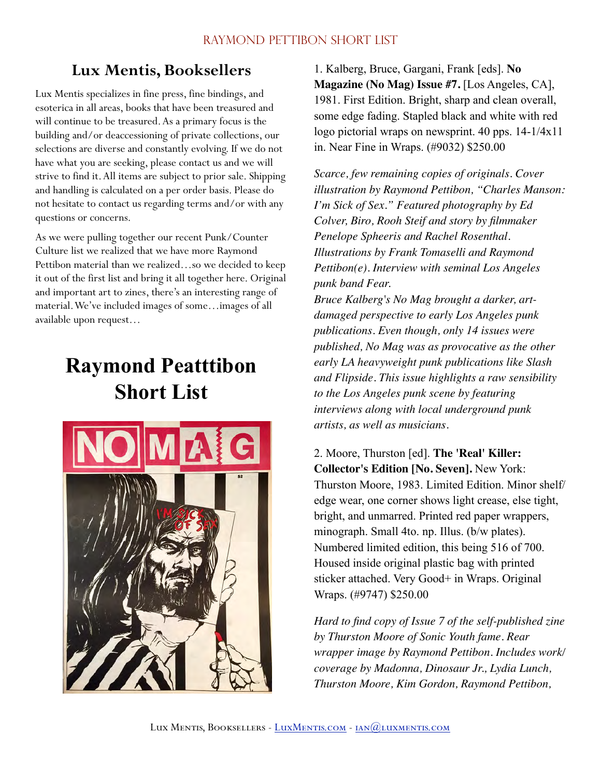# **Lux Mentis, Booksellers**

Lux Mentis specializes in fine press, fine bindings, and esoterica in all areas, books that have been treasured and will continue to be treasured. As a primary focus is the building and/or deaccessioning of private collections, our selections are diverse and constantly evolving. If we do not have what you are seeking, please contact us and we will strive to find it. All items are subject to prior sale. Shipping and handling is calculated on a per order basis. Please do not hesitate to contact us regarding terms and/or with any questions or concerns.

As we were pulling together our recent Punk/Counter Culture list we realized that we have more Raymond Pettibon material than we realized…so we decided to keep it out of the first list and bring it all together here. Original and important art to zines, there's an interesting range of material. We've included images of some…images of all available upon request…

# **Raymond Peatttibon Short List**



1. Kalberg, Bruce, Gargani, Frank [eds]. **No Magazine (No Mag) Issue #7.** [Los Angeles, CA], 1981. First Edition. Bright, sharp and clean overall, some edge fading. Stapled black and white with red logo pictorial wraps on newsprint. 40 pps. 14-1/4x11 in. Near Fine in Wraps. (#9032) \$250.00

*Scarce, few remaining copies of originals. Cover illustration by Raymond Pettibon, "Charles Manson: I'm Sick of Sex." Featured photography by Ed Colver, Biro, Rooh Steif and story by filmmaker Penelope Spheeris and Rachel Rosenthal. Illustrations by Frank Tomaselli and Raymond Pettibon(e). Interview with seminal Los Angeles punk band Fear.*

*Bruce Kalberg's No Mag brought a darker, artdamaged perspective to early Los Angeles punk publications. Even though, only 14 issues were published, No Mag was as provocative as the other early LA heavyweight punk publications like Slash and Flipside. This issue highlights a raw sensibility to the Los Angeles punk scene by featuring interviews along with local underground punk artists, as well as musicians.* 

2. Moore, Thurston [ed]. **The 'Real' Killer: Collector's Edition [No. Seven].** New York: Thurston Moore, 1983. Limited Edition. Minor shelf/ edge wear, one corner shows light crease, else tight, bright, and unmarred. Printed red paper wrappers, minograph. Small 4to. np. Illus. (b/w plates). Numbered limited edition, this being 516 of 700. Housed inside original plastic bag with printed sticker attached. Very Good+ in Wraps. Original Wraps. (#9747) \$250.00

*Hard to find copy of Issue 7 of the self-published zine by Thurston Moore of Sonic Youth fame. Rear wrapper image by Raymond Pettibon. Includes work/ coverage by Madonna, Dinosaur Jr., Lydia Lunch, Thurston Moore, Kim Gordon, Raymond Pettibon,*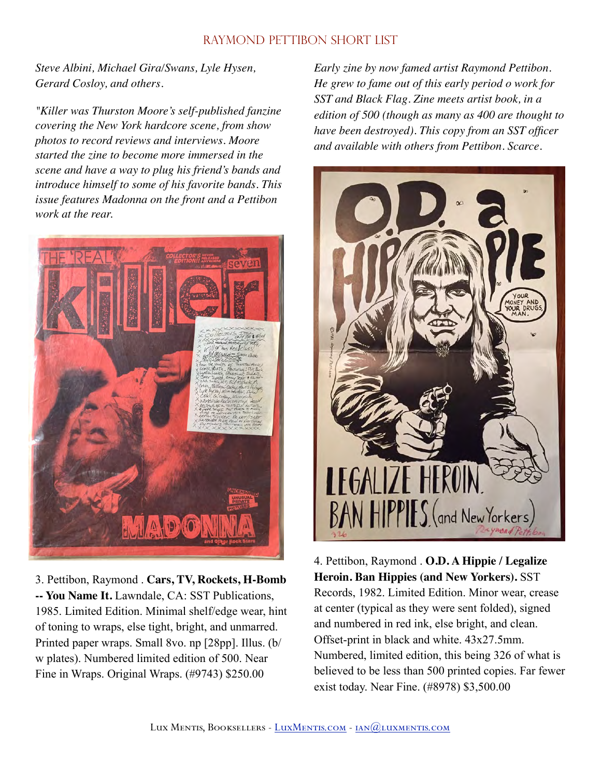*Steve Albini, Michael Gira/Swans, Lyle Hysen, Gerard Cosloy, and others.* 

*"Killer was Thurston Moore's self-published fanzine covering the New York hardcore scene, from show photos to record reviews and interviews. Moore started the zine to become more immersed in the scene and have a way to plug his friend's bands and introduce himself to some of his favorite bands. This issue features Madonna on the front and a Pettibon work at the rear.*



3. Pettibon, Raymond . **Cars, TV, Rockets, H-Bomb -- You Name It.** Lawndale, CA: SST Publications, 1985. Limited Edition. Minimal shelf/edge wear, hint of toning to wraps, else tight, bright, and unmarred. Printed paper wraps. Small 8vo. np [28pp]. Illus. (b/ w plates). Numbered limited edition of 500. Near Fine in Wraps. Original Wraps. (#9743) \$250.00

*Early zine by now famed artist Raymond Pettibon. He grew to fame out of this early period o work for SST and Black Flag. Zine meets artist book, in a edition of 500 (though as many as 400 are thought to have been destroyed). This copy from an SST officer and available with others from Pettibon. Scarce.*

LEGALIZE HEROIN BAN HIPPIES (and New Yorkers

4. Pettibon, Raymond . **O.D. A Hippie / Legalize Heroin. Ban Hippies (and New Yorkers).** SST Records, 1982. Limited Edition. Minor wear, crease at center (typical as they were sent folded), signed and numbered in red ink, else bright, and clean. Offset-print in black and white. 43x27.5mm. Numbered, limited edition, this being 326 of what is believed to be less than 500 printed copies. Far fewer exist today. Near Fine. (#8978) \$3,500.00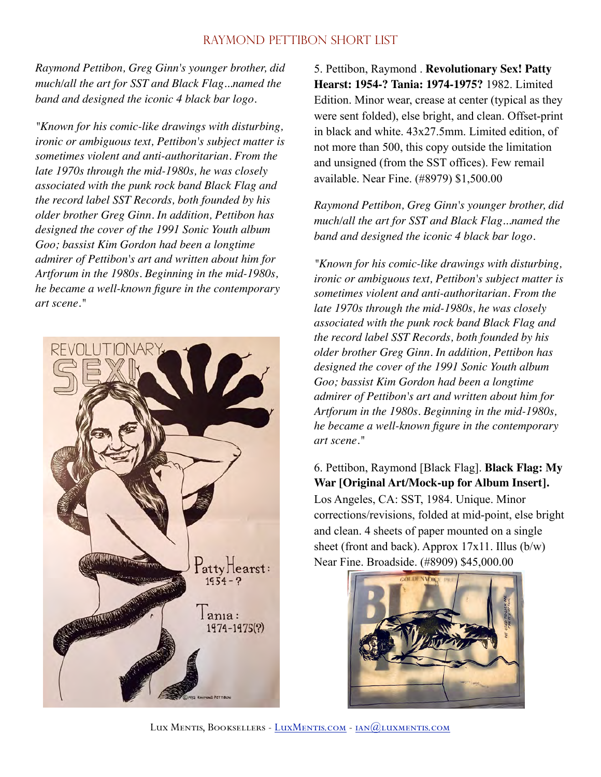*Raymond Pettibon, Greg Ginn's younger brother, did much/all the art for SST and Black Flag...named the band and designed the iconic 4 black bar logo.* 

*"Known for his comic-like drawings with disturbing, ironic or ambiguous text, Pettibon's subject matter is sometimes violent and anti-authoritarian. From the late 1970s through the mid-1980s, he was closely associated with the punk rock band Black Flag and the record label SST Records, both founded by his older brother Greg Ginn. In addition, Pettibon has designed the cover of the 1991 Sonic Youth album Goo; bassist Kim Gordon had been a longtime admirer of Pettibon's art and written about him for Artforum in the 1980s. Beginning in the mid-1980s, he became a well-known figure in the contemporary art scene."*



5. Pettibon, Raymond . **Revolutionary Sex! Patty Hearst: 1954-? Tania: 1974-1975?** 1982. Limited Edition. Minor wear, crease at center (typical as they were sent folded), else bright, and clean. Offset-print in black and white. 43x27.5mm. Limited edition, of not more than 500, this copy outside the limitation and unsigned (from the SST offices). Few remail available. Near Fine. (#8979) \$1,500.00

*Raymond Pettibon, Greg Ginn's younger brother, did much/all the art for SST and Black Flag...named the band and designed the iconic 4 black bar logo.* 

*"Known for his comic-like drawings with disturbing, ironic or ambiguous text, Pettibon's subject matter is sometimes violent and anti-authoritarian. From the late 1970s through the mid-1980s, he was closely associated with the punk rock band Black Flag and the record label SST Records, both founded by his older brother Greg Ginn. In addition, Pettibon has designed the cover of the 1991 Sonic Youth album Goo; bassist Kim Gordon had been a longtime admirer of Pettibon's art and written about him for Artforum in the 1980s. Beginning in the mid-1980s, he became a well-known figure in the contemporary art scene."* 

6. Pettibon, Raymond [Black Flag]. **Black Flag: My War [Original Art/Mock-up for Album Insert].**  Los Angeles, CA: SST, 1984. Unique. Minor corrections/revisions, folded at mid-point, else bright and clean. 4 sheets of paper mounted on a single sheet (front and back). Approx 17x11. Illus (b/w) Near Fine. Broadside. (#8909) \$45,000.00

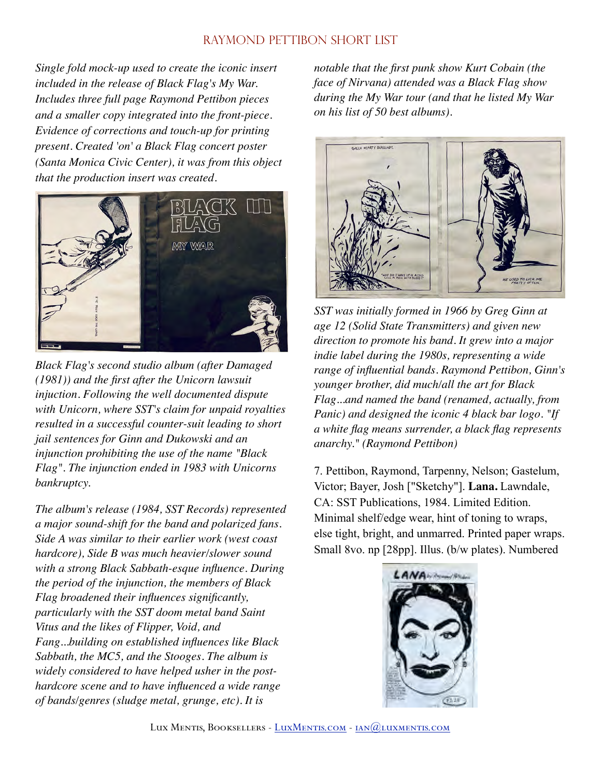*Single fold mock-up used to create the iconic insert included in the release of Black Flag's My War. Includes three full page Raymond Pettibon pieces and a smaller copy integrated into the front-piece. Evidence of corrections and touch-up for printing present. Created 'on' a Black Flag concert poster (Santa Monica Civic Center), it was from this object that the production insert was created.*



*Black Flag's second studio album (after Damaged (1981)) and the first after the Unicorn lawsuit injuction. Following the well documented dispute with Unicorn, where SST's claim for unpaid royalties resulted in a successful counter-suit leading to short jail sentences for Ginn and Dukowski and an injunction prohibiting the use of the name "Black Flag". The injunction ended in 1983 with Unicorns bankruptcy.* 

*The album's release (1984, SST Records) represented a major sound-shift for the band and polarized fans. Side A was similar to their earlier work (west coast hardcore), Side B was much heavier/slower sound with a strong Black Sabbath-esque influence. During the period of the injunction, the members of Black Flag broadened their influences significantly, particularly with the SST doom metal band Saint Vitus and the likes of Flipper, Void, and Fang...building on established influences like Black Sabbath, the MC5, and the Stooges. The album is widely considered to have helped usher in the posthardcore scene and to have influenced a wide range of bands/genres (sludge metal, grunge, etc). It is* 

*notable that the first punk show Kurt Cobain (the face of Nirvana) attended was a Black Flag show during the My War tour (and that he listed My War on his list of 50 best albums).*



*SST was initially formed in 1966 by Greg Ginn at age 12 (Solid State Transmitters) and given new direction to promote his band. It grew into a major indie label during the 1980s, representing a wide range of influential bands. Raymond Pettibon, Ginn's younger brother, did much/all the art for Black Flag...and named the band (renamed, actually, from Panic) and designed the iconic 4 black bar logo. "If a white flag means surrender, a black flag represents anarchy." (Raymond Pettibon)* 

7. Pettibon, Raymond, Tarpenny, Nelson; Gastelum, Victor; Bayer, Josh ["Sketchy"]. **Lana.** Lawndale, CA: SST Publications, 1984. Limited Edition. Minimal shelf/edge wear, hint of toning to wraps, else tight, bright, and unmarred. Printed paper wraps. Small 8vo. np [28pp]. Illus. (b/w plates). Numbered

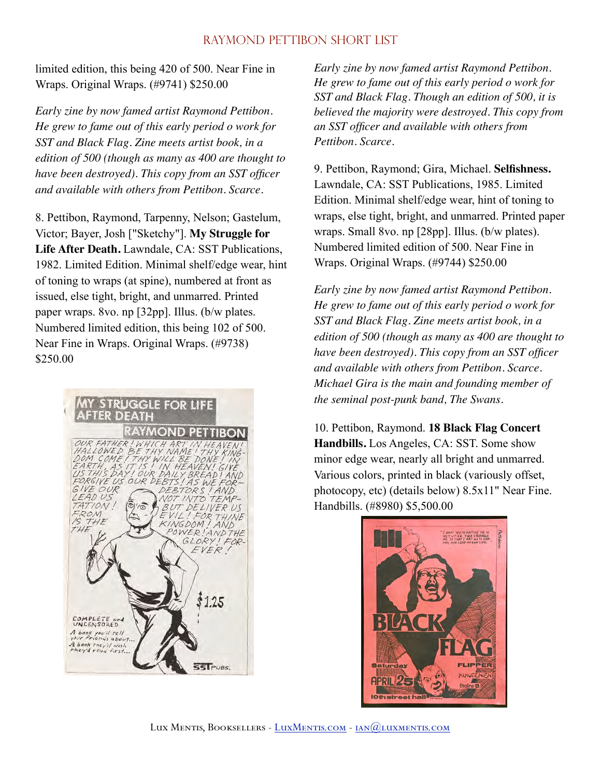limited edition, this being 420 of 500. Near Fine in Wraps. Original Wraps. (#9741) \$250.00

*Early zine by now famed artist Raymond Pettibon. He grew to fame out of this early period o work for SST and Black Flag. Zine meets artist book, in a edition of 500 (though as many as 400 are thought to have been destroyed). This copy from an SST officer and available with others from Pettibon. Scarce.* 

8. Pettibon, Raymond, Tarpenny, Nelson; Gastelum, Victor; Bayer, Josh ["Sketchy"]. **My Struggle for Life After Death.** Lawndale, CA: SST Publications, 1982. Limited Edition. Minimal shelf/edge wear, hint of toning to wraps (at spine), numbered at front as issued, else tight, bright, and unmarred. Printed paper wraps. 8vo. np [32pp]. Illus. (b/w plates. Numbered limited edition, this being 102 of 500. Near Fine in Wraps. Original Wraps. (#9738) \$250.00



*Early zine by now famed artist Raymond Pettibon. He grew to fame out of this early period o work for SST and Black Flag. Though an edition of 500, it is believed the majority were destroyed. This copy from an SST officer and available with others from Pettibon. Scarce.* 

9. Pettibon, Raymond; Gira, Michael. **Selfishness.**  Lawndale, CA: SST Publications, 1985. Limited Edition. Minimal shelf/edge wear, hint of toning to wraps, else tight, bright, and unmarred. Printed paper wraps. Small 8vo. np [28pp]. Illus. (b/w plates). Numbered limited edition of 500. Near Fine in Wraps. Original Wraps. (#9744) \$250.00

*Early zine by now famed artist Raymond Pettibon. He grew to fame out of this early period o work for SST and Black Flag. Zine meets artist book, in a edition of 500 (though as many as 400 are thought to have been destroyed). This copy from an SST officer and available with others from Pettibon. Scarce. Michael Gira is the main and founding member of the seminal post-punk band, The Swans.* 

10. Pettibon, Raymond. **18 Black Flag Concert Handbills.** Los Angeles, CA: SST. Some show minor edge wear, nearly all bright and unmarred. Various colors, printed in black (variously offset, photocopy, etc) (details below) 8.5x11" Near Fine. Handbills. (#8980) \$5,500.00

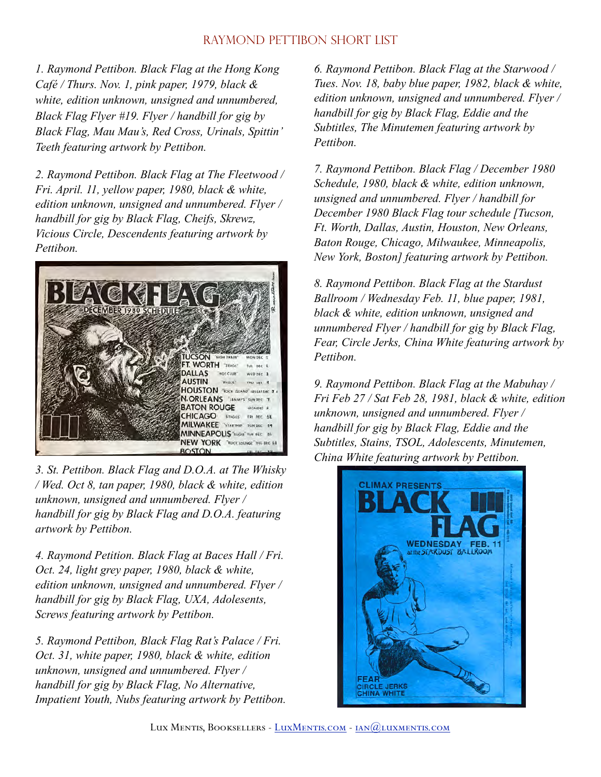*1. Raymond Pettibon. Black Flag at the Hong Kong Café / Thurs. Nov. 1, pink paper, 1979, black & white, edition unknown, unsigned and unnumbered, Black Flag Flyer #19. Flyer / handbill for gig by Black Flag, Mau Mau's, Red Cross, Urinals, Spittin' Teeth featuring artwork by Pettibon.* 

*2. Raymond Pettibon. Black Flag at The Fleetwood / Fri. April. 11, yellow paper, 1980, black & white, edition unknown, unsigned and unnumbered. Flyer / handbill for gig by Black Flag, Cheifs, Skrewz, Vicious Circle, Descendents featuring artwork by Pettibon.*



*3. St. Pettibon. Black Flag and D.O.A. at The Whisky / Wed. Oct 8, tan paper, 1980, black & white, edition unknown, unsigned and unnumbered. Flyer / handbill for gig by Black Flag and D.O.A. featuring artwork by Pettibon.* 

*4. Raymond Petition. Black Flag at Baces Hall / Fri. Oct. 24, light grey paper, 1980, black & white, edition unknown, unsigned and unnumbered. Flyer / handbill for gig by Black Flag, UXA, Adolesents, Screws featuring artwork by Pettibon.* 

*5. Raymond Pettibon, Black Flag Rat's Palace / Fri. Oct. 31, white paper, 1980, black & white, edition unknown, unsigned and unnumbered. Flyer / handbill for gig by Black Flag, No Alternative, Impatient Youth, Nubs featuring artwork by Pettibon.* 

*6. Raymond Pettibon. Black Flag at the Starwood / Tues. Nov. 18, baby blue paper, 1982, black & white, edition unknown, unsigned and unnumbered. Flyer / handbill for gig by Black Flag, Eddie and the Subtitles, The Minutemen featuring artwork by Pettibon.* 

*7. Raymond Pettibon. Black Flag / December 1980 Schedule, 1980, black & white, edition unknown, unsigned and unnumbered. Flyer / handbill for December 1980 Black Flag tour schedule [Tucson, Ft. Worth, Dallas, Austin, Houston, New Orleans, Baton Rouge, Chicago, Milwaukee, Minneapolis, New York, Boston] featuring artwork by Pettibon.* 

*8. Raymond Pettibon. Black Flag at the Stardust Ballroom / Wednesday Feb. 11, blue paper, 1981, black & white, edition unknown, unsigned and unnumbered Flyer / handbill for gig by Black Flag, Fear, Circle Jerks, China White featuring artwork by Pettibon.* 

*9. Raymond Pettibon. Black Flag at the Mabuhay / Fri Feb 27 / Sat Feb 28, 1981, black & white, edition unknown, unsigned and unnumbered. Flyer / handbill for gig by Black Flag, Eddie and the Subtitles, Stains, TSOL, Adolescents, Minutemen, China White featuring artwork by Pettibon.*

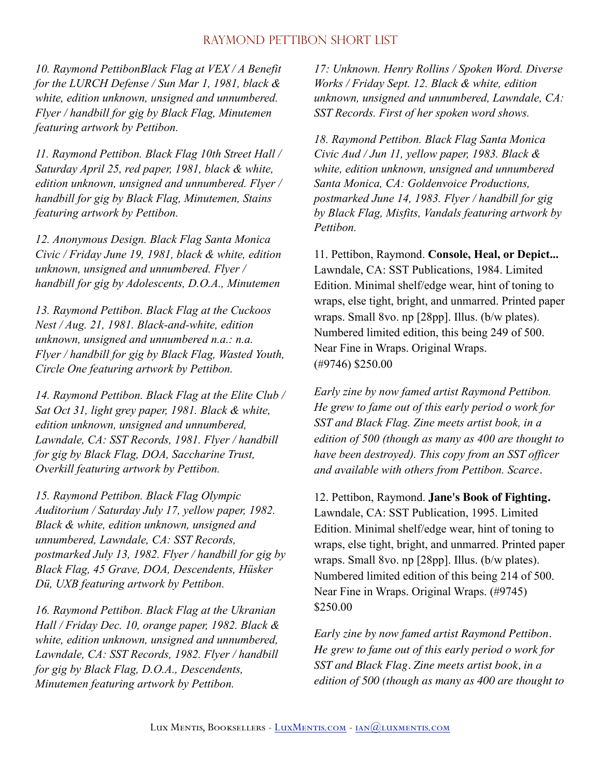*10. Raymond PettibonBlack Flag at VEX / A Benefit for the LURCH Defense / Sun Mar 1, 1981, black & white, edition unknown, unsigned and unnumbered. Flyer / handbill for gig by Black Flag, Minutemen featuring artwork by Pettibon.* 

*11. Raymond Pettibon. Black Flag 10th Street Hall / Saturday April 25, red paper, 1981, black & white, edition unknown, unsigned and unnumbered. Flyer / handbill for gig by Black Flag, Minutemen, Stains featuring artwork by Pettibon.* 

*12. Anonymous Design. Black Flag Santa Monica Civic / Friday June 19, 1981, black & white, edition unknown, unsigned and unnumbered. Flyer / handbill for gig by Adolescents, D.O.A., Minutemen* 

*13. Raymond Pettibon. Black Flag at the Cuckoos Nest / Aug. 21, 1981. Black-and-white, edition unknown, unsigned and unnumbered n.a.: n.a. Flyer / handbill for gig by Black Flag, Wasted Youth, Circle One featuring artwork by Pettibon.* 

*14. Raymond Pettibon. Black Flag at the Elite Club / Sat Oct 31, light grey paper, 1981. Black & white, edition unknown, unsigned and unnumbered, Lawndale, CA: SST Records, 1981. Flyer / handbill for gig by Black Flag, DOA, Saccharine Trust, Overkill featuring artwork by Pettibon.* 

*15. Raymond Pettibon. Black Flag Olympic Auditorium / Saturday July 17, yellow paper, 1982. Black & white, edition unknown, unsigned and unnumbered, Lawndale, CA: SST Records, postmarked July 13, 1982. Flyer / handbill for gig by Black Flag, 45 Grave, DOA, Descendents, Hüsker Dü, UXB featuring artwork by Pettibon.* 

*16. Raymond Pettibon. Black Flag at the Ukranian Hall / Friday Dec. 10, orange paper, 1982. Black & white, edition unknown, unsigned and unnumbered, Lawndale, CA: SST Records, 1982. Flyer / handbill for gig by Black Flag, D.O.A., Descendents, Minutemen featuring artwork by Pettibon.* 

*17: Unknown. Henry Rollins / Spoken Word. Diverse Works / Friday Sept. 12. Black & white, edition unknown, unsigned and unnumbered, Lawndale, CA: SST Records. First of her spoken word shows.* 

*18. Raymond Pettibon. Black Flag Santa Monica Civic Aud / Jun 11, yellow paper, 1983. Black & white, edition unknown, unsigned and unnumbered Santa Monica, CA: Goldenvoice Productions, postmarked June 14, 1983. Flyer / handbill for gig by Black Flag, Misfits, Vandals featuring artwork by Pettibon.* 

11. Pettibon, Raymond. **Console, Heal, or Depict...**  Lawndale, CA: SST Publications, 1984. Limited Edition. Minimal shelf/edge wear, hint of toning to wraps, else tight, bright, and unmarred. Printed paper wraps. Small 8vo. np [28pp]. Illus. (b/w plates). Numbered limited edition, this being 249 of 500. Near Fine in Wraps. Original Wraps. (#9746) \$250.00

*Early zine by now famed artist Raymond Pettibon. He grew to fame out of this early period o work for SST and Black Flag. Zine meets artist book, in a edition of 500 (though as many as 400 are thought to have been destroyed). This copy from an SST officer and available with others from Pettibon. Scarce.* 

12. Pettibon, Raymond. **Jane's Book of Fighting.**  Lawndale, CA: SST Publication, 1995. Limited Edition. Minimal shelf/edge wear, hint of toning to wraps, else tight, bright, and unmarred. Printed paper wraps. Small 8vo. np [28pp]. Illus. (b/w plates). Numbered limited edition of this being 214 of 500. Near Fine in Wraps. Original Wraps. (#9745) \$250.00

*Early zine by now famed artist Raymond Pettibon. He grew to fame out of this early period o work for SST and Black Flag. Zine meets artist book, in a edition of 500 (though as many as 400 are thought to*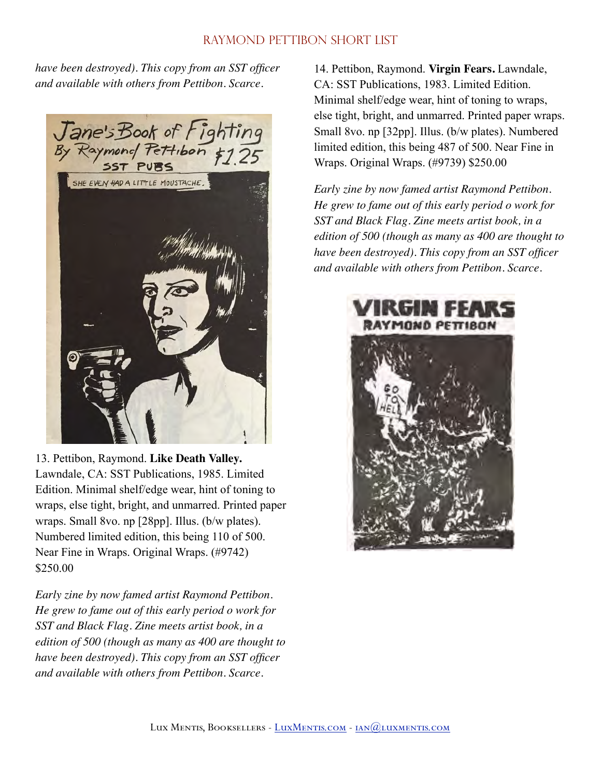*have been destroyed). This copy from an SST officer and available with others from Pettibon. Scarce.*



13. Pettibon, Raymond. **Like Death Valley.**  Lawndale, CA: SST Publications, 1985. Limited Edition. Minimal shelf/edge wear, hint of toning to wraps, else tight, bright, and unmarred. Printed paper wraps. Small 8vo. np [28pp]. Illus. (b/w plates). Numbered limited edition, this being 110 of 500. Near Fine in Wraps. Original Wraps. (#9742) \$250.00

*Early zine by now famed artist Raymond Pettibon. He grew to fame out of this early period o work for SST and Black Flag. Zine meets artist book, in a edition of 500 (though as many as 400 are thought to have been destroyed). This copy from an SST officer and available with others from Pettibon. Scarce.* 

14. Pettibon, Raymond. **Virgin Fears.** Lawndale, CA: SST Publications, 1983. Limited Edition. Minimal shelf/edge wear, hint of toning to wraps, else tight, bright, and unmarred. Printed paper wraps. Small 8vo. np [32pp]. Illus. (b/w plates). Numbered limited edition, this being 487 of 500. Near Fine in Wraps. Original Wraps. (#9739) \$250.00

*Early zine by now famed artist Raymond Pettibon. He grew to fame out of this early period o work for SST and Black Flag. Zine meets artist book, in a edition of 500 (though as many as 400 are thought to have been destroyed). This copy from an SST officer and available with others from Pettibon. Scarce.*